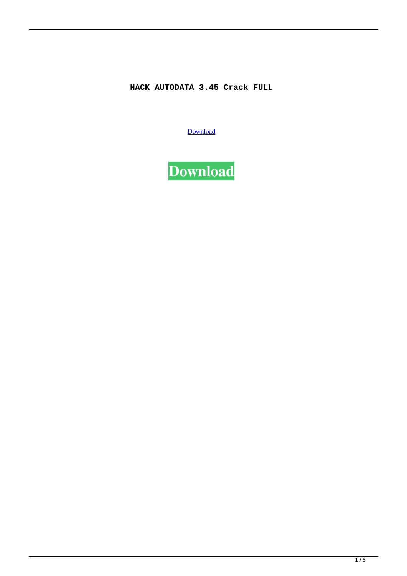## **HACK AUTODATA 3.45 Crack FULL**

[Download](http://evacdir.com/perfumed.clearinghouse?corde=/fella/SEFDSyBBVVRPREFUQSAzLjQ1IENyYWNrIEZVTEwSEF/ZG93bmxvYWR8SEUwTTNjM2ZId3hOalV5TkRZek1EVXdmSHd5TlRjMGZId29UU2tnY21WaFpDMWliRzluSUZ0R1lYTjBJRWRGVGww)

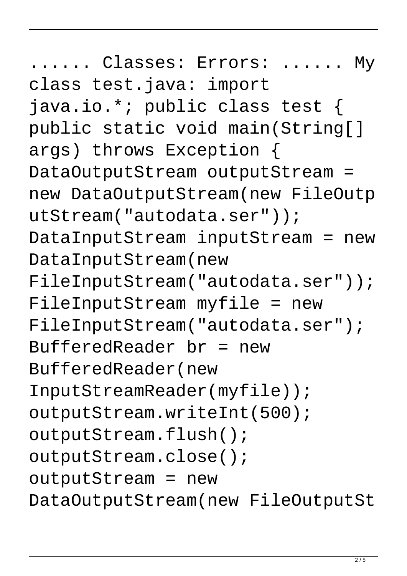.... Classes: Errors: ...... My class test.java: import java.io.\*; public class test { public static void main(String[] args) throws Exception { DataOutputStream outputStream = new DataOutputStream(new FileOutp utStream("autodata.ser")); DataInputStream inputStream = new DataInputStream(new FileInputStream("autodata.ser")); FileInputStream myfile = new FileInputStream("autodata.ser"); BufferedReader br = new BufferedReader(new InputStreamReader(myfile)); outputStream.writeInt(500); outputStream.flush(); outputStream.close(); outputStream = new DataOutputStream(new FileOutputSt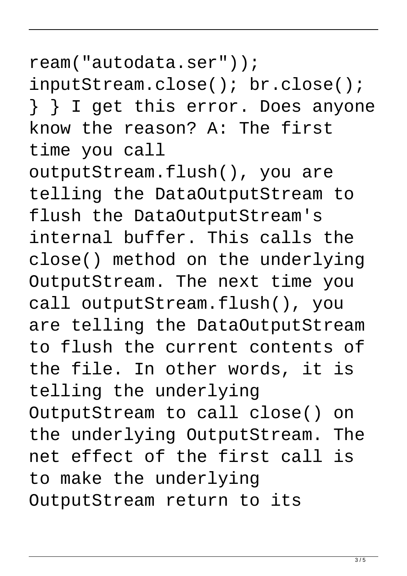ream("autodata.ser")); inputStream.close(); br.close(); } } I get this error. Does anyone know the reason? A: The first time you call

outputStream.flush(), you are telling the DataOutputStream to flush the DataOutputStream's internal buffer. This calls the close() method on the underlying OutputStream. The next time you call outputStream.flush(), you are telling the DataOutputStream to flush the current contents of the file. In other words, it is telling the underlying OutputStream to call close() on the underlying OutputStream. The net effect of the first call is to make the underlying OutputStream return to its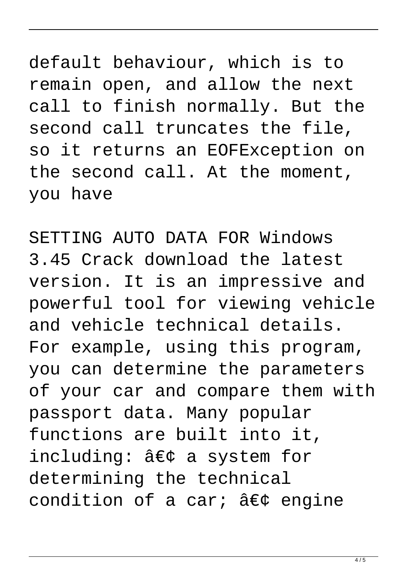default behaviour, which is to remain open, and allow the next call to finish normally. But the second call truncates the file, so it returns an EOFException on the second call. At the moment, you have

SETTING AUTO DATA FOR Windows 3.45 Crack download the latest version. It is an impressive and powerful tool for viewing vehicle and vehicle technical details. For example, using this program, you can determine the parameters of your car and compare them with passport data. Many popular functions are built into it, including: • a system for determining the technical condition of a car; • engine